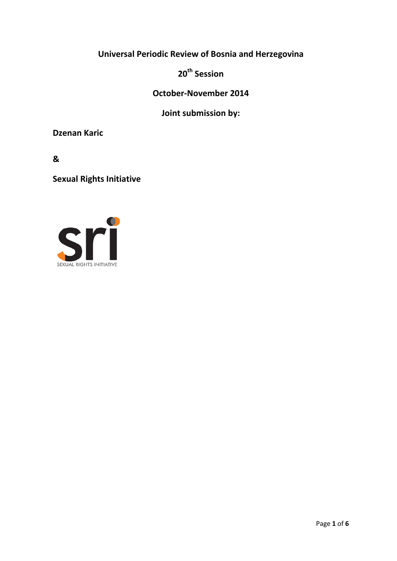# **Universal Periodic Review of Bosnia and Herzegovina**

**20th Session**

**October-November 2014**

**Joint submission by:**

**Dzenan Karic**

**&**

**Sexual Rights Initiative**

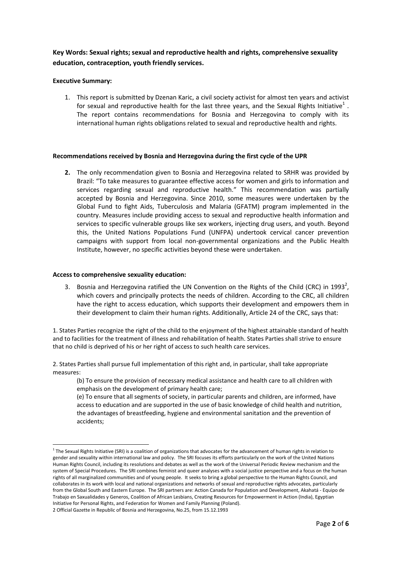# **Key Words: Sexual rights; sexual and reproductive health and rights, comprehensive sexuality education, contraception, youth friendly services.**

# **Executive Summary:**

1. This report is submitted by Dzenan Karic, a civil society activist for almost ten years and activist for sexual and reproductive health for the last three years, and the Sexual Rights Initiative<sup>1</sup>. The report contains recommendations for Bosnia and Herzegovina to comply with its international human rights obligations related to sexual and reproductive health and rights.

# **Recommendations received by Bosnia and Herzegovina during the first cycle of the UPR**

**2.** The only recommendation given to Bosnia and Herzegovina related to SRHR was provided by Brazil: "To take measures to guarantee effective access for women and girls to information and services regarding sexual and reproductive health." This recommendation was partially accepted by Bosnia and Herzegovina. Since 2010, some measures were undertaken by the Global Fund to fight Aids, Tuberculosis and Malaria (GFATM) program implemented in the country. Measures include providing access to sexual and reproductive health information and services to specific vulnerable groups like sex workers, injecting drug users, and youth. Beyond this, the United Nations Populations Fund (UNFPA) undertook cervical cancer prevention campaigns with support from local non-governmental organizations and the Public Health Institute, however, no specific activities beyond these were undertaken.

#### **Access to comprehensive sexuality education:**

3. Bosnia and Herzegovina ratified the UN Convention on the Rights of the Child (CRC) in 1993<sup>2</sup>, which covers and principally protects the needs of children. According to the CRC, all children have the right to access education, which supports their development and empowers them in their development to claim their human rights. Additionally, Article 24 of the CRC, says that:

1. States Parties recognize the right of the child to the enjoyment of the highest attainable standard of health and to facilities for the treatment of illness and rehabilitation of health. States Parties shall strive to ensure that no child is deprived of his or her right of access to such health care services.

2. States Parties shall pursue full implementation of this right and, in particular, shall take appropriate measures:

(b) To ensure the provision of necessary medical assistance and health care to all children with emphasis on the development of primary health care;

(e) To ensure that all segments of society, in particular parents and children, are informed, have access to education and are supported in the use of basic knowledge of child health and nutrition, the advantages of breastfeeding, hygiene and environmental sanitation and the prevention of accidents;

<sup>&</sup>lt;sup>1</sup> The Sexual Rights Initiative (SRI) is a coalition of organizations that advocates for the advancement of human rights in relation to gender and sexuality within international law and policy. The SRI focuses its efforts particularly on the work of the United Nations Human Rights Council, including its resolutions and debates as well as the work of the Universal Periodic Review mechanism and the system of Special Procedures. The SRI combines feminist and queer analyses with a social justice perspective and a focus on the human rights of all marginalized communities and of young people. It seeks to bring a global perspective to the Human Rights Council, and collaborates in its work with local and national organizations and networks of sexual and reproductive rights advocates, particularly from the Global South and Eastern Europe. The SRI partners are: Action Canada for Population and Development, Akahatá - Equipo de Trabajo en Saxualidades y Generos, Coalition of African Lesbians, Creating Resources for Empowerment in Action (India), Egyptian Initiative for Personal Rights, and Federation for Women and Family Planning (Poland).

<sup>2</sup> Official Gazette in Republic of Bosnia and Herzegovina, No.25, from 15.12.1993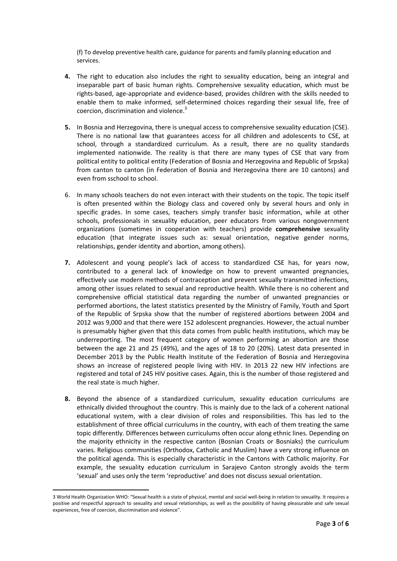(f) To develop preventive health care, guidance for parents and family planning education and services.

- **4.** The right to education also includes the right to sexuality education, being an integral and inseparable part of basic human rights. Comprehensive sexuality education, which must be rights-based, age-appropriate and evidence-based, provides children with the skills needed to enable them to make informed, self-determined choices regarding their sexual life, free of coercion, discrimination and violence.<sup>3</sup>
- **5.** In Bosnia and Herzegovina, there is unequal access to comprehensive sexuality education (CSE). There is no national law that guarantees access for all children and adolescents to CSE, at school, through a standardized curriculum. As a result, there are no quality standards implemented nationwide. The reality is that there are many types of CSE that vary from political entity to political entity (Federation of Bosnia and Herzegovina and Republic of Srpska) from canton to canton (in Federation of Bosnia and Herzegovina there are 10 cantons) and even from sschool to school.
- 6. In many schools teachers do not even interact with their students on the topic. The topic itself is often presented within the Biology class and covered only by several hours and only in specific grades. In some cases, teachers simply transfer basic information, while at other schools, professionals in sexuality education, peer educators from various nongovernment organizations (sometimes in cooperation with teachers) provide **comprehensive** sexuality education (that integrate issues such as: sexual orientation, negative gender norms, relationships, gender identity and abortion, among others).
- **7.** Adolescent and young people's lack of access to standardized CSE has, for years now, contributed to a general lack of knowledge on how to prevent unwanted pregnancies, effectively use modern methods of contraception and prevent sexually transmitted infections, among other issues related to sexual and reproductive health. While there is no coherent and comprehensive official statistical data regarding the number of unwanted pregnancies or performed abortions, the latest statistics presented by the Ministry of Family, Youth and Sport of the Republic of Srpska show that the number of registered abortions between 2004 and 2012 was 9,000 and that there were 152 adolescent pregnancies. However, the actual number is presumably higher given that this data comes from public health institutions, which may be underreporting. The most frequent category of women performing an abortion are those between the age 21 and 25 (49%), and the ages of 18 to 20 (20%). Latest data presented in December 2013 by the Public Health Institute of the Federation of Bosnia and Herzegovina shows an increase of registered people living with HIV. In 2013 22 new HIV infections are registered and total of 245 HIV positive cases. Again, this is the number of those registered and the real state is much higher.
- **8.** Beyond the absence of a standardized curriculum, sexuality education curriculums are ethnically divided throughout the country. This is mainly due to the lack of a coherent national educational system, with a clear division of roles and responsibilities. This has led to the establishment of three official curriculums in the country, with each of them treating the same topic differently. Differences between curriculums often occur along ethnic lines. Depending on the majority ethnicity in the respective canton (Bosnian Croats or Bosniaks) the curriculum varies. Religious communities (Orthodox, Catholic and Muslim) have a very strong influence on the political agenda. This is especially characteristic in the Cantons with Catholic majority. For example, the sexuality education curriculum in Sarajevo Canton strongly avoids the term 'sexual' and uses only the term 'reproductive' and does not discuss sexual orientation.

 $\overline{a}$ 

<sup>3</sup> World Health Organization WHO: "Sexual health is a state of physical, mental and social well-being in relation to sexuality. It requires a positive and respectful approach to sexuality and sexual relationships, as well as the possibility of having pleasurable and safe sexual experiences, free of coercion, discrimination and violence".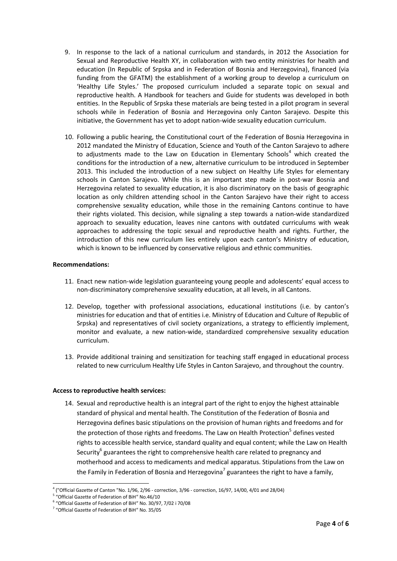- 9. In response to the lack of a national curriculum and standards, in 2012 the Association for Sexual and Reproductive Health XY, in collaboration with two entity ministries for health and education (In Republic of Srpska and in Federation of Bosnia and Herzegovina), financed (via funding from the GFATM) the establishment of a working group to develop a curriculum on 'Healthy Life Styles.' The proposed curriculum included a separate topic on sexual and reproductive health. A Handbook for teachers and Guide for students was developed in both entities. In the Republic of Srpska these materials are being tested in a pilot program in several schools while in Federation of Bosnia and Herzegovina only Canton Sarajevo. Despite this initiative, the Government has yet to adopt nation-wide sexuality education curriculum.
- 10. Following a public hearing, the Constitutional court of the Federation of Bosnia Herzegovina in 2012 mandated the Ministry of Education, Science and Youth of the Canton Sarajevo to adhere to adjustments made to the Law on Education in Elementary Schools<sup>4</sup> which created the conditions for the introduction of a new, alternative curriculum to be introduced in September 2013. This included the introduction of a new subject on Healthy Life Styles for elementary schools in Canton Sarajevo. While this is an important step made in post-war Bosnia and Herzegovina related to sexuality education, it is also discriminatory on the basis of geographic location as only children attending school in the Canton Sarajevo have their right to access comprehensive sexuality education, while those in the remaining Cantons continue to have their rights violated. This decision, while signaling a step towards a nation-wide standardized approach to sexuality education, leaves nine cantons with outdated curriculums with weak approaches to addressing the topic sexual and reproductive health and rights. Further, the introduction of this new curriculum lies entirely upon each canton's Ministry of education, which is known to be influenced by conservative religious and ethnic communities.

# **Recommendations:**

- 11. Enact new nation-wide legislation guaranteeing young people and adolescents' equal access to non-discriminatory comprehensive sexuality education, at all levels, in all Cantons.
- 12. Develop, together with professional associations, educational institutions (i.e. by canton's ministries for education and that of entities i.e. Ministry of Education and Culture of Republic of Srpska) and representatives of civil society organizations, a strategy to efficiently implement, monitor and evaluate, a new nation-wide, standardized comprehensive sexuality education curriculum.
- 13. Provide additional training and sensitization for teaching staff engaged in educational process related to new curriculum Healthy Life Styles in Canton Sarajevo, and throughout the country.

# **Access to reproductive health services:**

14. Sexual and reproductive health is an integral part of the right to enjoy the highest attainable standard of physical and mental health. The Constitution of the Federation of Bosnia and Herzegovina defines basic stipulations on the provision of human rights and freedoms and for the protection of those rights and freedoms. The Law on Health Protection<sup>5</sup> defines vested [rights](http://eudict.com/?lang=engcro&word=vested%20rights) to accessible health service, standard quality and equal content; while the Law on Health Security<sup>6</sup> guarantees the right to comprehensive health care related to pregnancy and motherhood and access to medicaments and medical apparatus. Stipulations from the Law on the Family in Federation of Bosnia and Herzegovina<sup>7</sup> guarantees the right to have a family,

 $\overline{a}$ 4 ("Official Gazette of Canton "No. 1/96, 2/96 - correction, 3/96 - correction, 16/97, 14/00, 4/01 and 28/04)

<sup>&</sup>lt;sup>5</sup> "Official Gazette of Federation of BiH" No.46/10

<sup>6</sup> "Official Gazette of Federation of BiH" No. 30/97, 7/02 i 70/08

<sup>7</sup> "Official Gazette of Federation of BiH" No. 35/05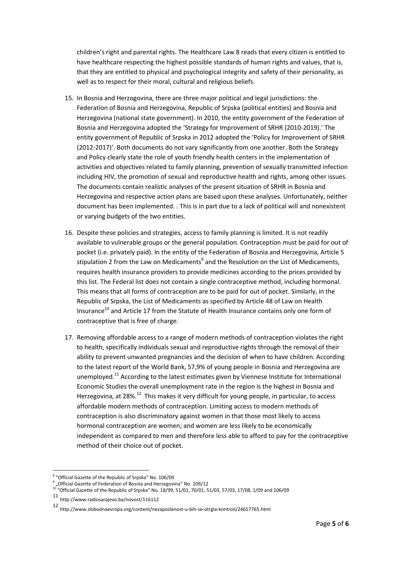children's right and parental rights. The Healthcare Law 8 reads that every citizen is entitled to have healthcare respecting the highest possible standards of human rights and values, that is, that they are entitled to physical and psychological integrity and safety of their personality, as well as to respect for their moral, cultural and religious beliefs.

- 15. In Bosnia and Herzogovina, there are three major political and legal jurisdictions: the Federation of Bosnia and Herzegovina, Republic of Srpska (political entities) and Bosnia and Herzegovina (national state government). In 2010, the entity government of the Federation of Bosnia and Herzegovina adopted the 'Strategy for Improvement of SRHR (2010-2019).' The entity government of Republic of Srpska in 2012 adopted the 'Policy for Improvement of SRHR (2012-2017)'. Both documents do not vary significantly from one another. Both the Strategy and Policy clearly state the role of youth friendly health centers in the implementation of activities and objectives related to family planning, prevention of sexually transmitted infection including HIV, the promotion of sexual and reproductive health and rights, among other issues. The documents contain realistic analyses of the present situation of SRHR in Bosnia and Herzegovina and respective action plans are based upon these analyses. Unfortunately, neither document has been implemented. . This is in part due to a lack of political will and nonexistent or varying budgets of the two entities.
- 16. Despite these policies and strategies, access to family planning is limited. It is not readily available to vulnerable groups or the general population. Contraception must be paid for out of pocket (i.e. privately paid). In the entity of the Federation of Bosnia and Herzegovina, Article 5 stipulation 2 from the Law on Medicaments<sup>9</sup> and the Resolution on the List of Medicaments, requires health insurance providers to provide medicines according to the prices provided by this list. The Federal list does not contain a single contraceptive method, including hormonal. This means that all forms of contraception are to be paid for out of pocket. Similarly, in the Republic of Srpska, the List of Medicaments as specified by Article 48 of Law on Health Insurance $^{10}$  and Article 17 from the Statute of Health Insurance contains only one form of contraceptive that is free of charge.
- 17. Removing affordable access to a range of modern methods of contraception violates the right to health, specifically individuals sexual and reproductive rights through the removal of their ability to prevent unwanted pregnancies and the decision of when to have children. According to the latest report of the World Bank, 57,9% of young people in Bosnia and Herzegovina are unemployed.<sup>11</sup> According to the latest estimates given by Viennese Institute for International Economic Studies the overall unemployment rate in the region is the highest in Bosnia and Herzegovina, at 28%.<sup>12</sup> This makes it very difficult for young people, in particular, to access affordable modern methods of contraception. Limiting access to modern methods of contraception is also discriminatory against women in that those most likely to access hormonal contraception are women; and women are less likely to be economically independent as compared to men and therefore less able to afford to pay for the contraceptive method of their choice out of pocket.

 $\overline{a}$ 

<sup>&</sup>lt;sup>8</sup> "Official Gazette of the Republic of Srpska" No. 106/09

 $^9$  "Official Gazette of Federation of Bosnia and Herzegovina" No. 109/12

 $10^{10}$  "Official Gazette of the Republic of Srpska" No. 18/99, 51/01, 70/01, 51/03, 57/03, 17/08, 1/09 and 106/09

<sup>11</sup> http://www.radiosarajevo.ba/novost/116112

<sup>12</sup> http://www.slobodnaevropa.org/content/nezaposlenost-u-bih-se-otrgla-kontroli/24657765.html